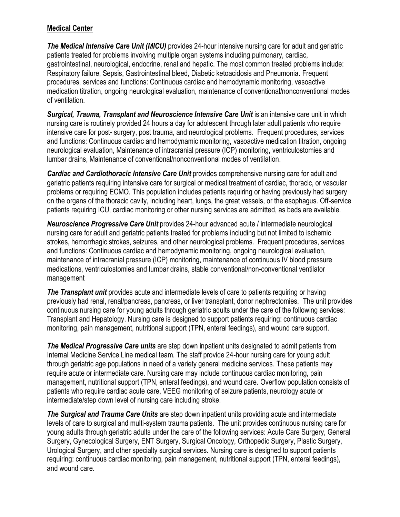#### **Medical Center**

*The Medical Intensive Care Unit (MICU)* provides 24-hour intensive nursing care for adult and geriatric patients treated for problems involving multiple organ systems including pulmonary, cardiac, gastrointestinal, neurological, endocrine, renal and hepatic. The most common treated problems include: Respiratory failure, Sepsis, Gastrointestinal bleed, Diabetic ketoacidosis and Pneumonia. Frequent procedures, services and functions: Continuous cardiac and hemodynamic monitoring, vasoactive medication titration, ongoing neurological evaluation, maintenance of conventional/nonconventional modes of ventilation.

*Surgical, Trauma, Transplant and Neuroscience Intensive Care Unit* is an intensive care unit in which nursing care is routinely provided 24 hours a day for adolescent through later adult patients who require intensive care for post- surgery, post trauma, and neurological problems. Frequent procedures, services and functions: Continuous cardiac and hemodynamic monitoring, vasoactive medication titration, ongoing neurological evaluation, Maintenance of intracranial pressure (ICP) monitoring, ventriculostomies and lumbar drains, Maintenance of conventional/nonconventional modes of ventilation.

*Cardiac and Cardiothoracic Intensive Care Unit* provides comprehensive nursing care for adult and geriatric patients requiring intensive care for surgical or medical treatment of cardiac, thoracic, or vascular problems or requiring ECMO. This population includes patients requiring or having previously had surgery on the organs of the thoracic cavity, including heart, lungs, the great vessels, or the esophagus. Off-service patients requiring ICU, cardiac monitoring or other nursing services are admitted, as beds are available.

*Neuroscience Progressive Care Unit* provides 24-hour advanced acute / intermediate neurological nursing care for adult and geriatric patients treated for problems including but not limited to ischemic strokes, hemorrhagic strokes, seizures, and other neurological problems. Frequent procedures, services and functions: Continuous cardiac and hemodynamic monitoring, ongoing neurological evaluation, maintenance of intracranial pressure (ICP) monitoring, maintenance of continuous IV blood pressure medications, ventriculostomies and lumbar drains, stable conventional/non-conventional ventilator management

*The Transplant unit* provides acute and intermediate levels of care to patients requiring or having previously had renal, renal/pancreas, pancreas, or liver transplant, donor nephrectomies. The unit provides continuous nursing care for young adults through geriatric adults under the care of the following services: Transplant and Hepatology. Nursing care is designed to support patients requiring: continuous cardiac monitoring, pain management, nutritional support (TPN, enteral feedings), and wound care support.

*The Medical Progressive Care units* are step down inpatient units designated to admit patients from Internal Medicine Service Line medical team. The staff provide 24-hour nursing care for young adult through geriatric age populations in need of a variety general medicine services. These patients may require acute or intermediate care. Nursing care may include continuous cardiac monitoring, pain management, nutritional support (TPN, enteral feedings), and wound care. Overflow population consists of patients who require cardiac acute care, VEEG monitoring of seizure patients, neurology acute or intermediate/step down level of nursing care including stroke.

*The Surgical and Trauma Care Units* are step down inpatient units providing acute and intermediate levels of care to surgical and multi-system trauma patients. The unit provides continuous nursing care for young adults through geriatric adults under the care of the following services: Acute Care Surgery, General Surgery, Gynecological Surgery, ENT Surgery, Surgical Oncology, Orthopedic Surgery, Plastic Surgery, Urological Surgery, and other specialty surgical services. Nursing care is designed to support patients requiring: continuous cardiac monitoring, pain management, nutritional support (TPN, enteral feedings), and wound care.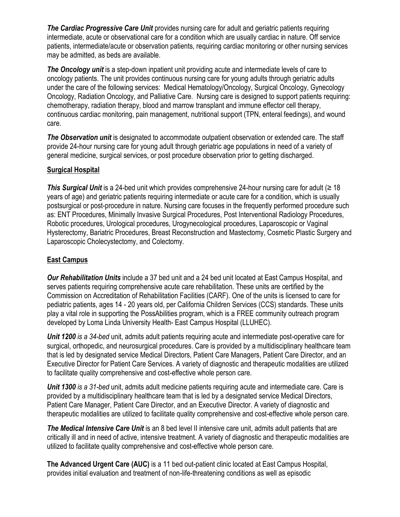*The Cardiac Progressive Care Unit* provides nursing care for adult and geriatric patients requiring intermediate, acute or observational care for a condition which are usually cardiac in nature. Off service patients, intermediate/acute or observation patients, requiring cardiac monitoring or other nursing services may be admitted, as beds are available.

*The Oncology unit* is a step-down inpatient unit providing acute and intermediate levels of care to oncology patients. The unit provides continuous nursing care for young adults through geriatric adults under the care of the following services: Medical Hematology/Oncology, Surgical Oncology, Gynecology Oncology, Radiation Oncology, and Palliative Care. Nursing care is designed to support patients requiring: chemotherapy, radiation therapy, blood and marrow transplant and immune effector cell therapy, continuous cardiac monitoring, pain management, nutritional support (TPN, enteral feedings), and wound care.

*The Observation unit* is designated to accommodate outpatient observation or extended care. The staff provide 24-hour nursing care for young adult through geriatric age populations in need of a variety of general medicine, surgical services, or post procedure observation prior to getting discharged.

### **Surgical Hospital**

*This Surgical Unit* is a 24-bed unit which provides comprehensive 24-hour nursing care for adult (≥ 18 years of age) and geriatric patients requiring intermediate or acute care for a condition, which is usually postsurgical or post-procedure in nature. Nursing care focuses in the frequently performed procedure such as: ENT Procedures, Minimally Invasive Surgical Procedures, Post Interventional Radiology Procedures, Robotic procedures, Urological procedures, Urogynecological procedures, Laparoscopic or Vaginal Hysterectomy, Bariatric Procedures, Breast Reconstruction and Mastectomy, Cosmetic Plastic Surgery and Laparoscopic Cholecystectomy, and Colectomy.

#### **East Campus**

*Our Rehabilitation Units* include a 37 bed unit and a 24 bed unit located at East Campus Hospital, and serves patients requiring comprehensive acute care rehabilitation. These units are certified by the Commission on Accreditation of Rehabilitation Facilities (CARF). One of the units is licensed to care for pediatric patients, ages 14 - 20 years old, per California Children Services (CCS) standards. These units play a vital role in supporting the PossAbilities program, which is a FREE community outreach program developed by Loma Linda University Health- East Campus Hospital (LLUHEC).

*Unit 1200 is a 34-bed* unit, admits adult patients requiring acute and intermediate post-operative care for surgical, orthopedic, and neurosurgical procedures. Care is provided by a multidisciplinary healthcare team that is led by designated service Medical Directors, Patient Care Managers, Patient Care Director, and an Executive Director for Patient Care Services. A variety of diagnostic and therapeutic modalities are utilized to facilitate quality comprehensive and cost-effective whole person care.

*Unit 1300 is a 31-bed* unit, admits adult medicine patients requiring acute and intermediate care. Care is provided by a multidisciplinary healthcare team that is led by a designated service Medical Directors, Patient Care Manager, Patient Care Director, and an Executive Director. A variety of diagnostic and therapeutic modalities are utilized to facilitate quality comprehensive and cost-effective whole person care.

*The Medical Intensive Care Unit* is an 8 bed level II intensive care unit, admits adult patients that are critically ill and in need of active, intensive treatment. A variety of diagnostic and therapeutic modalities are utilized to facilitate quality comprehensive and cost-effective whole person care.

**The Advanced Urgent Care (AUC)** is a 11 bed out-patient clinic located at East Campus Hospital, provides initial evaluation and treatment of non-life-threatening conditions as well as episodic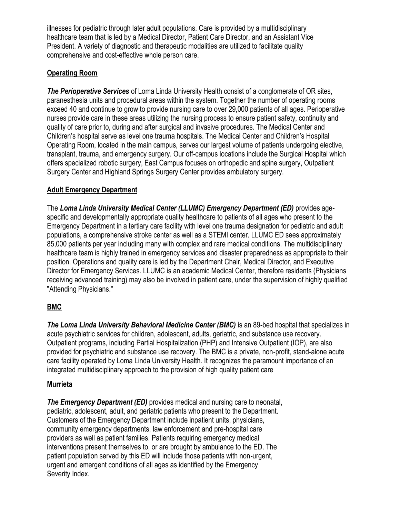illnesses for pediatric through later adult populations. Care is provided by a multidisciplinary healthcare team that is led by a Medical Director, Patient Care Director, and an Assistant Vice President. A variety of diagnostic and therapeutic modalities are utilized to facilitate quality comprehensive and cost-effective whole person care.

### **Operating Room**

*The Perioperative Services* of Loma Linda University Health consist of a conglomerate of OR sites, paranesthesia units and procedural areas within the system. Together the number of operating rooms exceed 40 and continue to grow to provide nursing care to over 29,000 patients of all ages. Perioperative nurses provide care in these areas utilizing the nursing process to ensure patient safety, continuity and quality of care prior to, during and after surgical and invasive procedures. The Medical Center and Children's hospital serve as level one trauma hospitals. The Medical Center and Children's Hospital Operating Room, located in the main campus, serves our largest volume of patients undergoing elective, transplant, trauma, and emergency surgery. Our off-campus locations include the Surgical Hospital which offers specialized robotic surgery, East Campus focuses on orthopedic and spine surgery, Outpatient Surgery Center and Highland Springs Surgery Center provides ambulatory surgery.

## **Adult Emergency Department**

The *Loma Linda University Medical Center (LLUMC) Emergency Department (ED)* provides agespecific and developmentally appropriate quality healthcare to patients of all ages who present to the Emergency Department in a tertiary care facility with level one trauma designation for pediatric and adult populations, a comprehensive stroke center as well as a STEMI center. LLUMC ED sees approximately 85,000 patients per year including many with complex and rare medical conditions. The multidisciplinary healthcare team is highly trained in emergency services and disaster preparedness as appropriate to their position. Operations and quality care is led by the Department Chair, Medical Director, and Executive Director for Emergency Services. LLUMC is an academic Medical Center, therefore residents (Physicians receiving advanced training) may also be involved in patient care, under the supervision of highly qualified "Attending Physicians."

# **BMC**

*The Loma Linda University Behavioral Medicine Center (BMC)* is an 89-bed hospital that specializes in acute psychiatric services for children, adolescent, adults, geriatric, and substance use recovery. Outpatient programs, including Partial Hospitalization (PHP) and Intensive Outpatient (IOP), are also provided for psychiatric and substance use recovery. The BMC is a private, non-profit, stand-alone acute care facility operated by Loma Linda University Health. It recognizes the paramount importance of an integrated multidisciplinary approach to the provision of high quality patient care

### **Murrieta**

*The Emergency Department (ED)* provides medical and nursing care to neonatal, pediatric, adolescent, adult, and geriatric patients who present to the Department. Customers of the Emergency Department include inpatient units, physicians, community emergency departments, law enforcement and pre-hospital care providers as well as patient families. Patients requiring emergency medical interventions present themselves to, or are brought by ambulance to the ED. The patient population served by this ED will include those patients with non-urgent, urgent and emergent conditions of all ages as identified by the Emergency Severity Index.